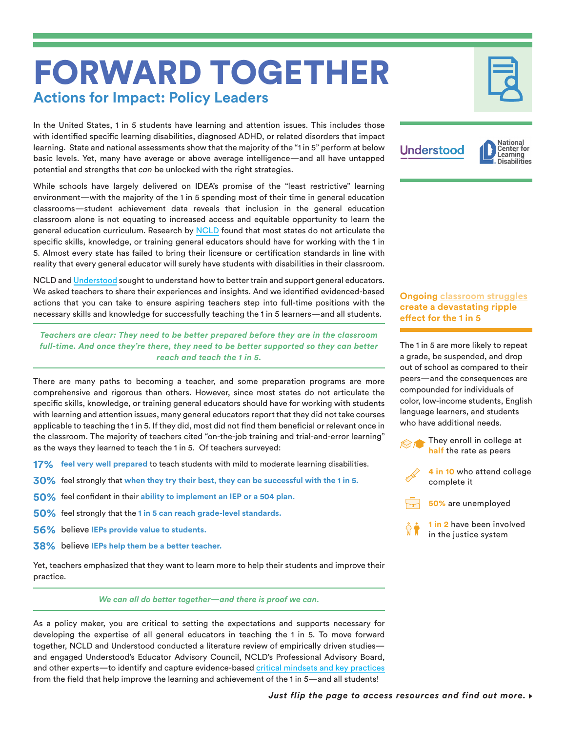# FORWARD TOGETHER **Actions for Impact: Policy Leaders**

In the United States, 1 in 5 students have learning and attention issues. This includes those with identified specific learning disabilities, diagnosed ADHD, or related disorders that impact learning. State and national assessments show that the majority of the "1 in 5" perform at below basic levels. Yet, many have average or above average intelligence—and all have untapped potential and strengths that *can* be unlocked with the right strategies.

While schools have largely delivered on IDEA's promise of the "least restrictive" learning environment—with the majority of the 1 in 5 spending most of their time in general education classrooms—student achievement data reveals that inclusion in the general education classroom alone is not equating to increased access and equitable opportunity to learn the general education curriculum. Research by [NCLD](https://www.ncld.org/) found that most states do not articulate the specific skills, knowledge, or training general educators should have for working with the 1 in 5. Almost every state has failed to bring their licensure or certification standards in line with reality that every general educator will surely have students with disabilities in their classroom.

NCLD and [Understood](https://www.understood.org/en) sought to understand how to better train and support general educators. We asked teachers to share their experiences and insights. And we identified evidenced-based actions that you can take to ensure aspiring teachers step into full-time positions with the necessary skills and knowledge for successfully teaching the 1 in 5 learners—and all students.

*Teachers are clear: They need to be better prepared before they are in the classroom*  full-time. And once they're there, they need to be better supported so they can better *reach and teach the 1 in 5.* 

There are many paths to becoming a teacher, and some preparation programs are more comprehensive and rigorous than others. However, since most states do not articulate the specific skills, knowledge, or training general educators should have for working with students with learning and attention issues, many general educators report that they did not take courses applicable to teaching the 1 in 5. If they did, most did not find them beneficial or relevant once in the classroom. The majority of teachers cited "on-the-job training and trial-and-error learning" as the ways they learned to teach the 1 in 5. Of teachers surveyed:

**17% feel very well prepared** to teach students with mild to moderate learning disabilities.

- **30%** feel strongly that **when they try their best, they can be successful with the 1 in 5.**
- **50%** feel confident in their **ability to implement an IEP or a 504 plan.**
- **50%** feel strongly that the **1 in 5 can reach grade-level standards.**
- **56%** believe **IEPs provide value to students.**
- **38%** believe **IEPs help them be a better teacher.**

Yet, teachers emphasized that they want to learn more to help their students and improve their practice.

*We can all do better together—and there is proof we can.*

As a policy maker, you are critical to setting the expectations and supports necessary for developing the expertise of all general educators in teaching the 1 in 5. To move forward together, NCLD and Understood conducted a literature review of empirically driven studies and engaged Understood's Educator Advisory Council, NCLD's Professional Advisory Board, and other experts—to identify and capture evidence-based [critical mindsets and key practices](http://www.ncld.org/forwardtogetherkeyfindings) from the field that help improve the learning and achievement of the 1 in 5—and all students!



### **Ongoing [classroom struggles](https://www.ncld.org/supporting-academic-success) create a devastating ripple effect for the 1 in 5**

The 1 in 5 are more likely to repeat a grade, be suspended, and drop out of school as compared to their peers—and the consequences are compounded for individuals of color, low-income students, English language learners, and students who have additional needs.





*Just flip the page to access resources and find out more.*